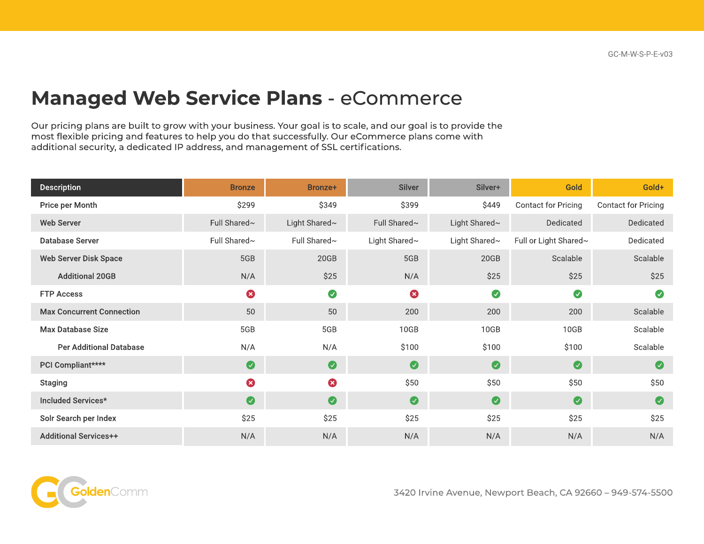## Managed Web Service Plans - eCommerce

Our pricing plans are built to grow with your business. Your goal is to scale, and our goal is to provide the most flexible pricing and features to help you do that successfully. Our eCommerce plans come with additional security, a dedicated IP address, and management of SSL certifications.

| <b>Description</b>               | <b>Bronze</b> | Bronze+       | <b>Silver</b>         | Silver+       | Gold                  | Gold+               |
|----------------------------------|---------------|---------------|-----------------------|---------------|-----------------------|---------------------|
| Price per Month                  | \$299         | \$349         | \$399                 | \$449         | Contact for Pricing   | Contact for Pricing |
| <b>Web Server</b>                | Full Shared~  | Light Shared~ | Full Shared~          | Light Shared~ | Dedicated             | Dedicated           |
| Database Server                  | Full Shared~  | Full Shared~  | Light Shared~         | Light Shared~ | Full or Light Shared~ | Dedicated           |
| <b>Web Server Disk Space</b>     | 5GB           | 20GB          | 5GB                   | 20GB          | Scalable              | Scalable            |
| <b>Additional 20GB</b>           | N/A           | \$25          | N/A                   | \$25          | \$25                  | \$25                |
| <b>FTP Access</b>                | 0             | $\bullet$     | $\boldsymbol{\Omega}$ | $\bullet$     | $\bullet$             | $\bullet$           |
| <b>Max Concurrent Connection</b> | 50            | 50            | 200                   | 200           | 200                   | Scalable            |
| <b>Max Database Size</b>         | 5GB           | 5GB           | 10GB                  | 10GB          | 10GB                  | Scalable            |
| <b>Per Additional Database</b>   | N/A           | N/A           | \$100                 | \$100         | \$100                 | Scalable            |
| PCI Compliant****                | $\bullet$     | $\bullet$     | $\bullet$             | $\bullet$     | $\bullet$             | $\bullet$           |
| <b>Staging</b>                   | 0             | $\bullet$     | \$50                  | \$50          | \$50                  | \$50                |
| Included Services*               | $\bullet$     | $\bullet$     | $\bullet$             | $\bullet$     | $\bullet$             | $\bullet$           |
| Solr Search per Index            | \$25          | \$25          | \$25                  | \$25          | \$25                  | \$25                |
| <b>Additional Services++</b>     | N/A           | N/A           | N/A                   | N/A           | N/A                   | N/A                 |